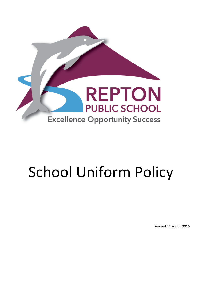

# School Uniform Policy

Revised 24 March 2016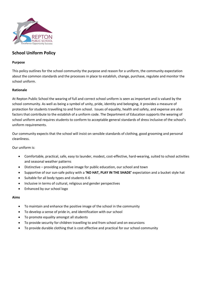

# **School Uniform Policy**

### **Purpose**

This policy outlines for the school community the purpose and reason for a uniform, the community expectation about the common standards and the processes in place to establish, change, purchase, regulate and monitor the school uniform.

## **Rationale**

At Repton Public School the wearing of full and correct school uniform is seen as important and is valued by the school community. As well as being a symbol of unity, pride, identity and belonging, it provides a measure of protection for students travelling to and from school. Issues of equality, health and safety, and expense are also factors that contribute to the establish of a uniform code. The Department of Education supports the wearing of school uniform and requires students to conform to acceptable general standards of dress inclusive of the school's uniform requirements.

Our community expects that the school will insist on sensible standards of clothing, good grooming and personal cleanliness.

Our uniform is:

- Comfortable, practical, safe, easy to launder, modest, cost-effective, hard-wearing, suited to school activities and seasonal weather patterns
- Distinctive providing a positive image for public education, our school and town
- Supportive of our sun-safe policy with a **'NO HAT, PLAY IN THE SHADE'** expectation and a bucket style hat
- Suitable for all body types and students K-6
- Inclusive in terms of cultural, religious and gender perspectives
- Enhanced by our school logo

#### **Aims**

- To maintain and enhance the positive image of the school in the community
- To develop a sense of pride in, and identification with our school
- To promote equality amongst all students
- To provide security for children travelling to and from school and on excursions
- To provide durable clothing that is cost effective and practical for our school community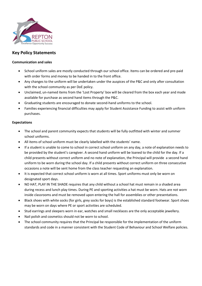

# **Key Policy Statements**

## **Communication and sales**

- School uniform sales are mostly conducted through our school office. Items can be ordered and pre-paid with order forms and money to be handed in to the front office.
- Any changes to the uniform will be undertaken under the auspices of the P&C and only after consultation with the school community as per DoE policy.
- Unclaimed, un-named items from the 'Lost Property' box will be cleared from the box each year and made available for purchase as second hand items through the P&C.
- Graduating students are encouraged to donate second-hand uniforms to the school.
- Families experiencing financial difficulties may apply for Student Assistance Funding to assist with uniform purchases.

# **Expectations**

- The school and parent community expects that students will be fully outfitted with winter and summer school uniforms.
- All items of school uniform must be clearly labelled with the students' name.
- If a student is unable to come to school in correct school uniform on any day, a note of explanation needs to be provided by the student's caregiver. A second hand uniform will be loaned to the child for the day. If a child presents without correct uniform and no note of explanation, the Principal will provide a second hand uniform to be worn during the school day. If a child presents without correct uniform on three consecutive occasions a note will be sent home from the class teacher requesting an explanation.
- It is expected that correct school uniform is worn at all times. Sport uniforms must only be worn on designated sport days.
- NO HAT, PLAY IN THE SHADE requires that any child without a school hat must remain in a shaded area during recess and lunch play times. During PE and sporting activities a hat must be worn. Hats are not worn inside classrooms and must be removed upon entering the hall for assemblies or other presentations.
- Black shoes with white socks (for girls, grey socks for boys) is the established standard footwear. Sport shoes may be worn on days where PE or sport activities are scheduled.
- Stud earrings and sleepers worn in ear, watches and small necklaces are the only acceptable jewellery.
- Nail polish and cosmetics should not be worn to school.
- The school community requires that the Principal be responsible for the implementation of the uniform standards and code in a manner consistent with the Student Code of Behaviour and School Welfare policies.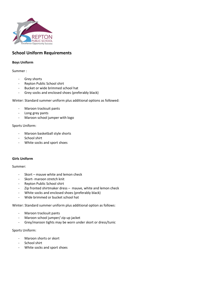

# **School Uniform Requirements**

## **Boys Uniform**

Summer :

- Grey shorts
- Repton Public School shirt
- Bucket or wide brimmed school hat
- Grey socks and enclosed shoes (preferably black)

Winter: Standard summer uniform plus additional options as followed:

- Maroon tracksuit pants
- Long grey pants
- Maroon school jumper with logo

Sports Uniform:

- Maroon basketball style shorts
- School shirt
- White socks and sport shoes

#### **Girls Uniform**

#### Summer:

- Skort mauve white and lemon check
- Skort- maroon stretch knit
- Repton Public School shirt
- Zip fronted shirtmaker dress mauve, white and lemon check
- White socks and enclosed shoes (preferably black)
- Wide brimmed or bucket school hat

Winter: Standard summer uniform plus additional option as follows:

- Maroon tracksuit pants
- Maroon school jumper/ zip up jacket
- Grey/maroon tights may be worn under skort or dress/tunic

#### Sports Uniform:

- Maroon shorts or skort
- School shirt
- White socks and sport shoes